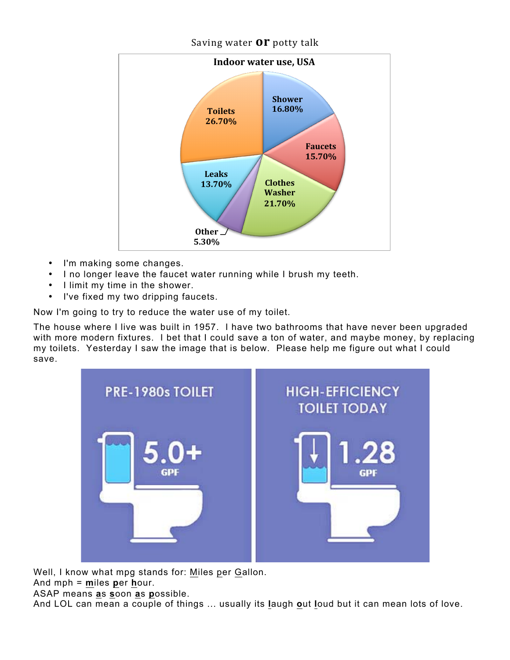## Saving water **OP** potty talk



- I'm making some changes.
- I no longer leave the faucet water running while I brush my teeth.
- I limit my time in the shower.
- I've fixed my two dripping faucets.

Now I'm going to try to reduce the water use of my toilet.

The house where I live was built in 1957. I have two bathrooms that have never been upgraded with more modern fixtures. I bet that I could save a ton of water, and maybe money, by replacing my toilets. Yesterday I saw the image that is below. Please help me figure out what I could save.



Well, I know what mpg stands for: Miles per Gallon.

And mph = **m**iles **p**er **h**our.

ASAP means **a**s **s**oon **a**s **p**ossible.

And LOL can mean a couple of things ... usually its **l**augh **o**ut **l**oud but it can mean lots of love.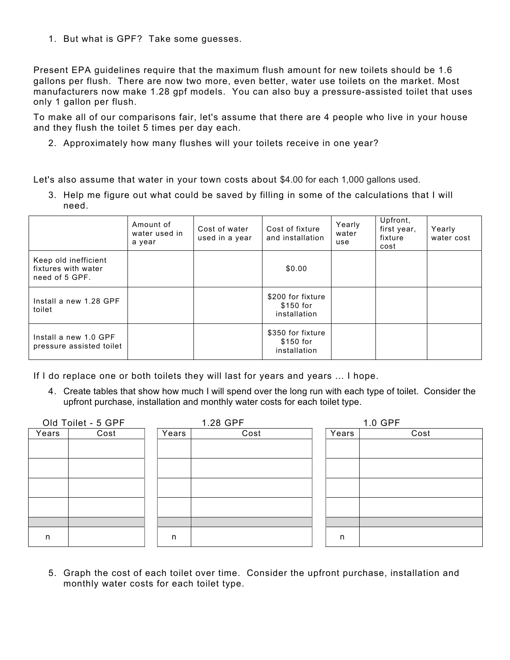1. But what is GPF? Take some guesses.

Present EPA guidelines require that the maximum flush amount for new toilets should be 1.6 gallons per flush. There are now two more, even better, water use toilets on the market. Most manufacturers now make 1.28 gpf models. You can also buy a pressure-assisted toilet that uses only 1 gallon per flush.

To make all of our comparisons fair, let's assume that there are 4 people who live in your house and they flush the toilet 5 times per day each.

2. Approximately how many flushes will your toilets receive in one year?

Let's also assume that water in your town costs about \$4.00 for each 1,000 gallons used.

3. Help me figure out what could be saved by filling in some of the calculations that I will need.

|                                                               | Amount of<br>water used in<br>a year | Cost of water<br>used in a year | Cost of fixture<br>and installation            | Yearly<br>water<br>use | Upfront,<br>first year,<br>fixture<br>cost | Yearly<br>water cost |
|---------------------------------------------------------------|--------------------------------------|---------------------------------|------------------------------------------------|------------------------|--------------------------------------------|----------------------|
| Keep old inefficient<br>fixtures with water<br>need of 5 GPF. |                                      |                                 | \$0.00                                         |                        |                                            |                      |
| Install a new 1.28 GPF<br>toilet                              |                                      |                                 | \$200 for fixture<br>\$150 for<br>installation |                        |                                            |                      |
| Install a new 1.0 GPF<br>pressure assisted toilet             |                                      |                                 | \$350 for fixture<br>\$150 for<br>installation |                        |                                            |                      |

If I do replace one or both toilets they will last for years and years ... I hope.

4. Create tables that show how much I will spend over the long run with each type of toilet. Consider the upfront purchase, installation and monthly water costs for each toilet type.

| Old Toilet - 5 GPF |      |       | 1.28 GPF |       | 1.0 GPF |  |  |
|--------------------|------|-------|----------|-------|---------|--|--|
| Years              | Cost | Years | Cost     | Years | Cost    |  |  |
|                    |      |       |          |       |         |  |  |
|                    |      |       |          |       |         |  |  |
|                    |      |       |          |       |         |  |  |
|                    |      |       |          |       |         |  |  |
|                    |      |       |          |       |         |  |  |
|                    |      |       |          |       |         |  |  |
|                    |      |       |          |       |         |  |  |
|                    |      |       |          |       |         |  |  |
|                    |      |       |          |       |         |  |  |
| n                  |      | n     |          | n     |         |  |  |
|                    |      |       |          |       |         |  |  |

5. Graph the cost of each toilet over time. Consider the upfront purchase, installation and monthly water costs for each toilet type.